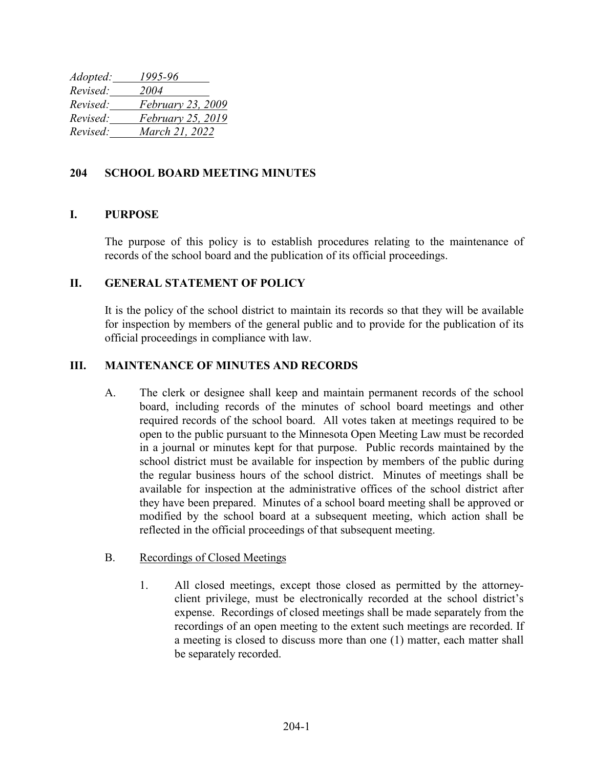*Adopted: 1995-96 Revised: 2004 Revised: February 23, 2009 Revised: February 25, 2019 Revised: March 21, 2022*

## **204 SCHOOL BOARD MEETING MINUTES**

# **I. PURPOSE**

The purpose of this policy is to establish procedures relating to the maintenance of records of the school board and the publication of its official proceedings.

### **II. GENERAL STATEMENT OF POLICY**

It is the policy of the school district to maintain its records so that they will be available for inspection by members of the general public and to provide for the publication of its official proceedings in compliance with law.

# **III. MAINTENANCE OF MINUTES AND RECORDS**

- A. The clerk or designee shall keep and maintain permanent records of the school board, including records of the minutes of school board meetings and other required records of the school board. All votes taken at meetings required to be open to the public pursuant to the Minnesota Open Meeting Law must be recorded in a journal or minutes kept for that purpose. Public records maintained by the school district must be available for inspection by members of the public during the regular business hours of the school district. Minutes of meetings shall be available for inspection at the administrative offices of the school district after they have been prepared. Minutes of a school board meeting shall be approved or modified by the school board at a subsequent meeting, which action shall be reflected in the official proceedings of that subsequent meeting.
- B. Recordings of Closed Meetings
	- 1. All closed meetings, except those closed as permitted by the attorneyclient privilege, must be electronically recorded at the school district's expense. Recordings of closed meetings shall be made separately from the recordings of an open meeting to the extent such meetings are recorded. If a meeting is closed to discuss more than one (1) matter, each matter shall be separately recorded.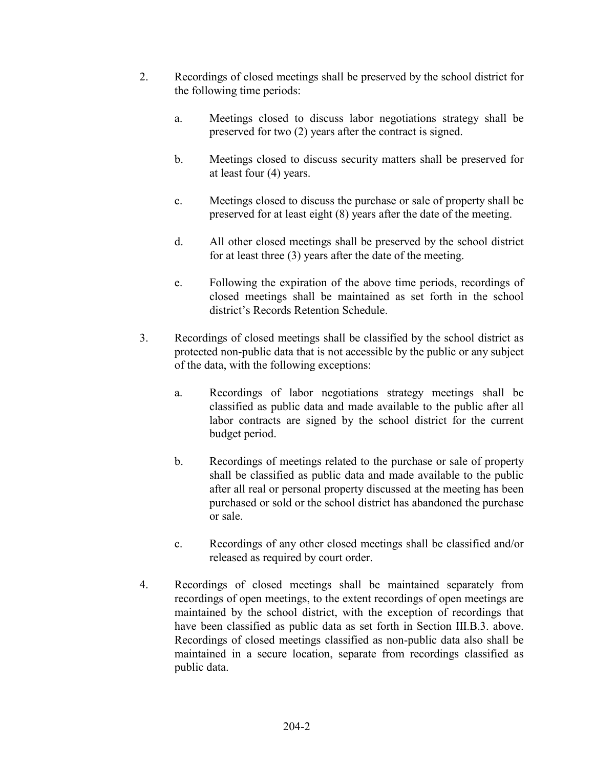- 2. Recordings of closed meetings shall be preserved by the school district for the following time periods:
	- a. Meetings closed to discuss labor negotiations strategy shall be preserved for two (2) years after the contract is signed.
	- b. Meetings closed to discuss security matters shall be preserved for at least four (4) years.
	- c. Meetings closed to discuss the purchase or sale of property shall be preserved for at least eight (8) years after the date of the meeting.
	- d. All other closed meetings shall be preserved by the school district for at least three (3) years after the date of the meeting.
	- e. Following the expiration of the above time periods, recordings of closed meetings shall be maintained as set forth in the school district's Records Retention Schedule.
- 3. Recordings of closed meetings shall be classified by the school district as protected non-public data that is not accessible by the public or any subject of the data, with the following exceptions:
	- a. Recordings of labor negotiations strategy meetings shall be classified as public data and made available to the public after all labor contracts are signed by the school district for the current budget period.
	- b. Recordings of meetings related to the purchase or sale of property shall be classified as public data and made available to the public after all real or personal property discussed at the meeting has been purchased or sold or the school district has abandoned the purchase or sale.
	- c. Recordings of any other closed meetings shall be classified and/or released as required by court order.
- 4. Recordings of closed meetings shall be maintained separately from recordings of open meetings, to the extent recordings of open meetings are maintained by the school district, with the exception of recordings that have been classified as public data as set forth in Section III.B.3. above. Recordings of closed meetings classified as non-public data also shall be maintained in a secure location, separate from recordings classified as public data.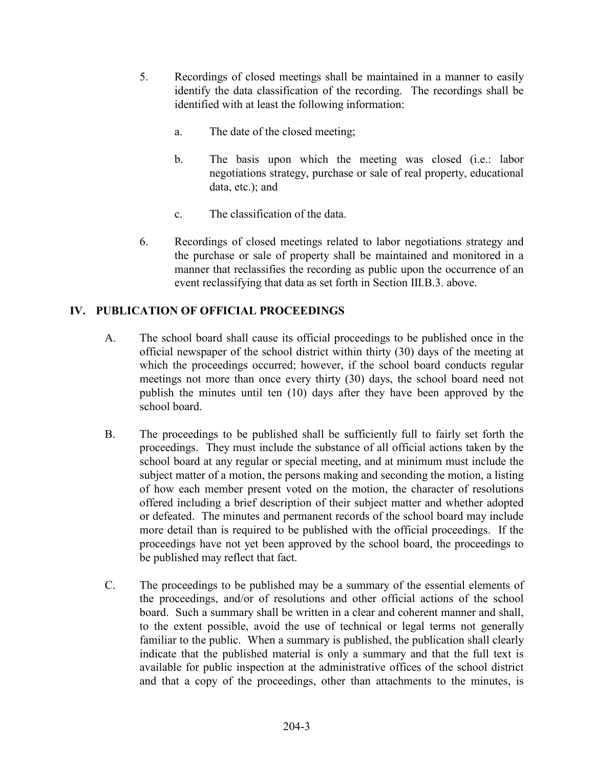- 5. Recordings of closed meetings shall be maintained in a manner to easily identify the data classification of the recording. The recordings shall be identified with at least the following information:
	- a. The date of the closed meeting;
	- b. The basis upon which the meeting was closed (i.e.: labor negotiations strategy, purchase or sale of real property, educational data, etc.); and
	- c. The classification of the data.
- 6. Recordings of closed meetings related to labor negotiations strategy and the purchase or sale of property shall be maintained and monitored in a manner that reclassifies the recording as public upon the occurrence of an event reclassifying that data as set forth in Section III.B.3. above.

# **IV. PUBLICATION OF OFFICIAL PROCEEDINGS**

- A. The school board shall cause its official proceedings to be published once in the official newspaper of the school district within thirty (30) days of the meeting at which the proceedings occurred; however, if the school board conducts regular meetings not more than once every thirty (30) days, the school board need not publish the minutes until ten (10) days after they have been approved by the school board.
- B. The proceedings to be published shall be sufficiently full to fairly set forth the proceedings. They must include the substance of all official actions taken by the school board at any regular or special meeting, and at minimum must include the subject matter of a motion, the persons making and seconding the motion, a listing of how each member present voted on the motion, the character of resolutions offered including a brief description of their subject matter and whether adopted or defeated. The minutes and permanent records of the school board may include more detail than is required to be published with the official proceedings. If the proceedings have not yet been approved by the school board, the proceedings to be published may reflect that fact.
- C. The proceedings to be published may be a summary of the essential elements of the proceedings, and/or of resolutions and other official actions of the school board. Such a summary shall be written in a clear and coherent manner and shall, to the extent possible, avoid the use of technical or legal terms not generally familiar to the public. When a summary is published, the publication shall clearly indicate that the published material is only a summary and that the full text is available for public inspection at the administrative offices of the school district and that a copy of the proceedings, other than attachments to the minutes, is